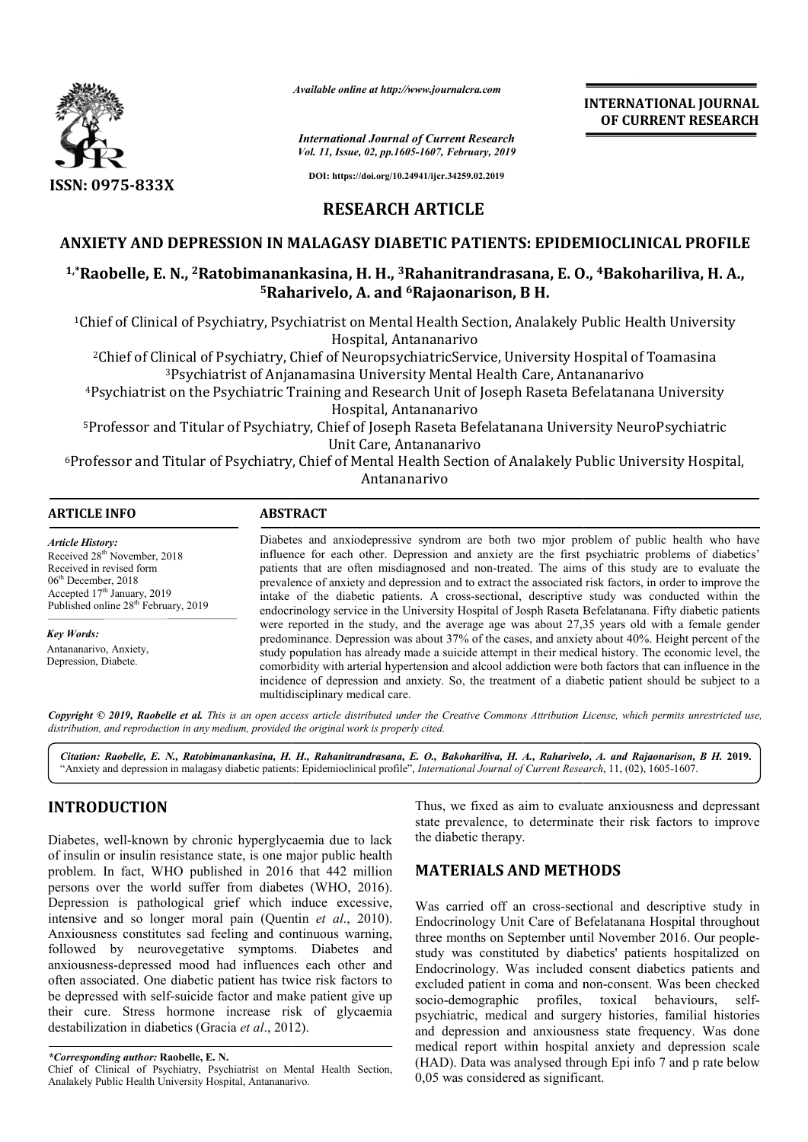

*Available online at http://www.journalcra.com*

*International Journal of Current Research Vol. 11, Issue, 02, pp.1605-1607, February, 2019*

**DOI: https://doi.org/10.24941/ijcr.34259.02.2019**

**INTERNATIONAL JOURNAL OF CURRENT RESEARCH**

**RESEARCH ARTICLE**

## **ANXIETY AND DEPRESSION IN MALAGASY DIABETIC PATIENTS: EPIDEMIOCLINICAL PROFILE**

# <sup>1,</sup>\*Raobelle, E. N., <sup>2</sup>Ratobimanankasina, H. H., <sup>3</sup>Rahanitrandrasana, E. O., <sup>4</sup>Bakohariliva, H. A., **5Raharivelo, A. and Raharivelo, 6Rajaonarison, B H.**

<sup>1</sup>Chief of Clinical of Psychiatry, Psychiatrist on Mental Health Section, Analakely Public Health University<br>Hospital, Antananarivo

2Chief of Clinical of Psychiatry, Chief of NeuropsychiatricService, University Hospital of Toamasina 3Psychiatrist of Anjanamasina University Mental Health Care, Antananarivo

4Psychiatrist on the Psychiatric Training and Research Unit of Joseph Raseta Befelatanana University <sup>3</sup>Psychiatrist of Anjanamasina University Mental I<br>Psychiatrist on the Psychiatric Training and Research Unit of<br>Hospital, Antananarivo

5Professor and Titular of Psychiatry, Chief of Joseph Raseta Befelatanana University NeuroPsychiatric Professor Unit Care, Antananarivo <sup>3</sup>Psychiatrist of Anjanamasina University Mental Health Care, Antananarivo<br>t on the Psychiatric Training and Research Unit of Joseph Raseta Befelatanana<br>Hospital, Antananarivo<br>md Titular of Psychiatry, Chief of Joseph Ras

6Professor and Titular of Psychiatry, Chief of Mental Health Section of Analakely Public University Hospital, Professor Antananarivo

| ARTICLE INFO                             | <b>ABSTRACT</b>                                                                                           |  |  |
|------------------------------------------|-----------------------------------------------------------------------------------------------------------|--|--|
| Article History:                         | Diabetes and anxiodepressive syndrom are both two mjor problem of public health who have                  |  |  |
| Received 28 <sup>th</sup> November, 2018 | influence for each other. Depression and anxiety are the first psychiatric problems of diabetics'         |  |  |
| Received in revised form                 | patients that are often misdiagnosed and non-treated. The aims of this study are to evaluate the          |  |  |
| $06^{\text{th}}$ December $2018$         | provelegge of opisity and depression and to outport the essenciated right feature in order to improve the |  |  |

06<sup>th</sup> December, 2018 Accepted 17<sup>th</sup> January, 2019 Published online 28<sup>th</sup> February, 2019

*Key Words:*

Antananarivo, Anxiety, Depression, Diabete.

prevalence of anxiety and depression and to extract the associated risk factors, in order to improve the intake of the diabetic patients. A cross-sectional, descriptive study was conducted within the endocrinology service in the University Hospital of Josph Raseta Befelatanana. Fifty diabetic patients patients that are often misdiagnosed and non-treated. The aims of this study are to evaluate the prevalence of anxiety and depression and to extract the associated risk factors, in order to improve the intake of the diabet predominance. Depression was about 37% of the cases, and anxiety about 40%. Height percent of the study population has already made a suicide attempt in their medical history. The economic level, the comorbidity with arterial hypertension and a alcool addiction were both factors that can influence in the incidence of depression and anxiety. So, the treatment of a diabetic patient should be subject to a multidisciplinary medical care. predominance. Depression was about 37% of the cases, and anxiety about 40%. Height percent of th<br>study population has already made a suicide attempt in their medical history. The economic level, th<br>comorbidity with arteria

Copyright © 2019, Raobelle et al. This is an open access article distributed under the Creative Commons Attribution License, which permits unrestricted use, *distribution, and reproduction in any medium, provided the original work is properly cited.*

*Citation: Raobelle, E. N., Ratobimanankasina, H. H., Rahanitrandrasana, E. O., Bakohariliva, H. A., Raharivelo, A. and Raj Bakohariliva, A., Rajaonarison, B H.* **2019.** "Anxiety and depression in malagasy diabetic patients: Epidemioclinical profile Anxiety profile", *International Journal of Current Research* , 11, (02), 1605-1607.

# **INTRODUCTION**

Diabetes, well-known by chronic hyperglycaemia due to lack of insulin or insulin resistance state, is one major public health problem. In fact, WHO published in 2016 that 442 million persons over the world suffer from diabetes (WHO, 2016). Depression is pathological grief which induce excessive, intensive and so longer moral pain (Quentin Quentin *et al*., 2010). Anxiousness constitutes sad feeling and continuous warning, followed by neurovegetative symptoms. Diabetes and anxiousness-depressed mood had influences each other and often associated. One diabetic patient has twice risk factors to be depressed with self-suicide factor and make patient give up their cure. Stress hormone increase risk of glycaemia destabilization in diabetics (Gracia *et al*., 2012 known by chronic hyperglycaemia due to lack<br>sulin resistance state, is one major public health<br>ct, WHO published in 2016 that 442 million<br>he world suffer from diabetes (WHO, 2016). mood had influences e<br>liabetic patient has twice<br>suicide factor and make pormone increase risk<br>tics (Gracia *et al.*, 2012).

Thus, we fixed as aim to evaluate anxiousness and depressant Thus, we fixed as aim to evaluate anxiousness and depressant state prevalence, to determinate their risk factors to improve the diabetic therapy.

## **MATERIALS AND METHODS METHODS**

Was carried off an cross-sectional and descriptive study in Endocrinology Unit Care of Befelatanana Hospital throughout three months on September until November 2016. Our people study was constituted by diabetics' patients hospitalized on Endocrinology. Was included consent diabetics patients and excluded patient in coma and non-consent. Was been checked socio-demographic profiles, toxical behaviours, selfpsychiatric, medical and surgery histories, familial histories and depression and anxiousness state frequency. Was done medical report within hospital anxiety and depression scale (HAD). Data was analysed through Epi info 7 and p rate below 0,05 was considered as significant. Was carried off an cross-sectional and descriptive study in<br>Endocrinology Unit Care of Befelatanana Hospital throughout<br>three months on September until November 2016. Our peopleconstituted by diabetics' patients hospitalized on<br>ogy. Was included consent diabetics patients and<br>titent in coma and non-consent. Was been checked **INTERNATIONAL JOURNAL**<br> **CONSERVATIONAL CONSERVATIONAL CONSERVATION CONSERVATION CONSERVATION (DESERVATION 1998)**<br> **DESERVATION CONSERVATION CONSERVATION CALC TRANSPLUE TRANSPLUE TRANSPLUE TRANSPLUE TRANSPLUE TRANSPLUE TR** 

*<sup>\*</sup>Corresponding author:* **Raobelle, E. N.** Chief of Clinical of Psychiatry, Psychiatrist on Mental Health Section, Analakely Public Health University Hospital, Antananarivo.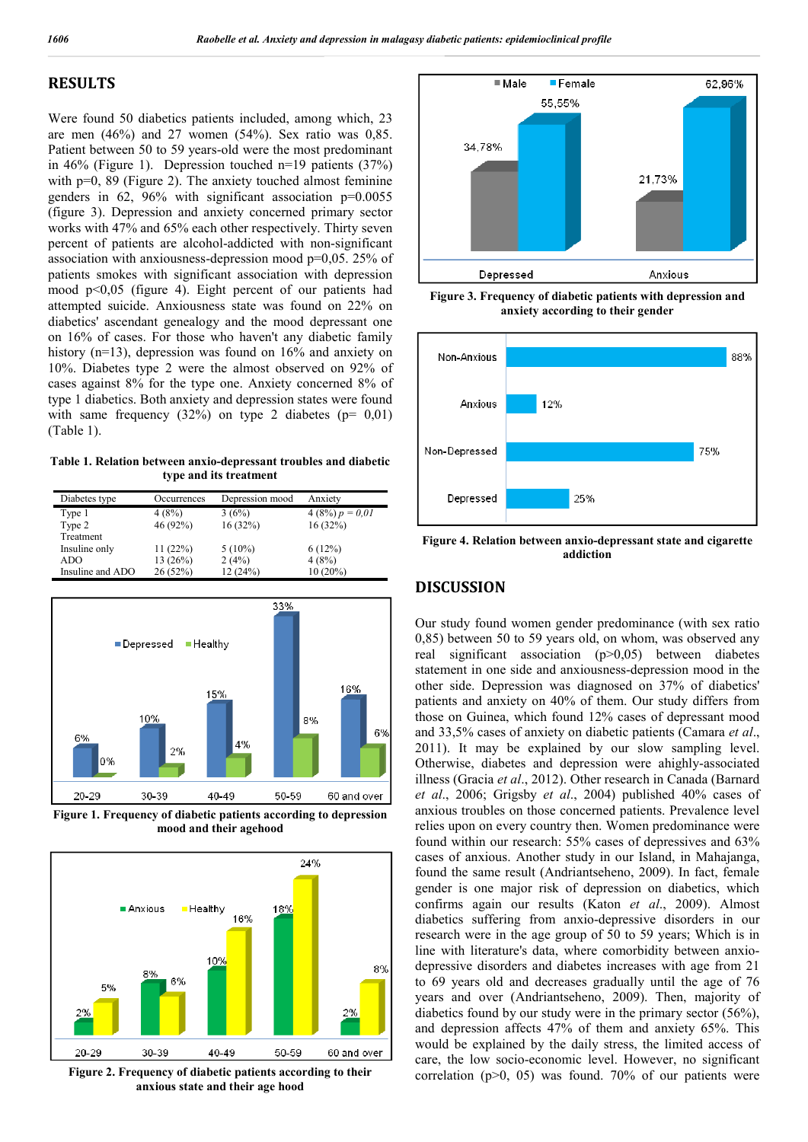### **RESULTS**

Were found 50 diabetics patients included, among which, 23 are men (46%) and 27 women (54%). Sex ratio was 0,85. Patient between 50 to 59 years-old were the most predominant in 46% (Figure 1). Depression touched n=19 patients (37%) with  $p=0$ , 89 (Figure 2). The anxiety touched almost feminine genders in  $62$ ,  $96\%$  with significant association  $p=0.0055$ (figure 3). Depression and anxiety concerned primary sector works with 47% and 65% each other respectively. Thirty seven percent of patients are alcohol-addicted with non-significant association with anxiousness-depression mood p=0,05. 25% of patients smokes with significant association with depression mood p<0,05 (figure 4). Eight percent of our patients had attempted suicide. Anxiousness state was found on 22% on diabetics' ascendant genealogy and the mood depressant one on 16% of cases. For those who haven't any diabetic family history (n=13), depression was found on 16% and anxiety on 10%. Diabetes type 2 were the almost observed on 92% of cases against 8% for the type one. Anxiety concerned 8% of type 1 diabetics. Both anxiety and depression states were found with same frequency  $(32\%)$  on type 2 diabetes ( $p= 0.01$ ) (Table 1).

**Table 1. Relation between anxio-depressant troubles and diabetic type and its treatment**

| Diabetes type    | Occurrences | Depression mood | Anxiety           |
|------------------|-------------|-----------------|-------------------|
| Type 1           | 4(8%)       | 3(6%)           | $4(8\%) p = 0.01$ |
| Type 2           | 46 (92%)    | 16(32%)         | 16(32%)           |
| Treatment        |             |                 |                   |
| Insuline only    | 11(22%)     | $5(10\%)$       | 6(12%)            |
| ADO              | 13(26%)     | 2(4%)           | 4(8%)             |
| Insuline and ADO | 26 (52%)    | 12(24%)         | $10(20\%)$        |



**Figure 1. Frequency of diabetic patients according to depression mood and their agehood**



**Figure 2. Frequency of diabetic patients according to their anxious state and their age hood**



**Figure 3. Frequency of diabetic patients with depression and anxiety according to their gender**



**Figure 4. Relation between anxio-depressant state and cigarette addiction**

### **DISCUSSION**

Our study found women gender predominance (with sex ratio 0,85) between 50 to 59 years old, on whom, was observed any real significant association (p>0,05) between diabetes statement in one side and anxiousness-depression mood in the other side. Depression was diagnosed on 37% of diabetics' patients and anxiety on 40% of them. Our study differs from those on Guinea, which found 12% cases of depressant mood and 33,5% cases of anxiety on diabetic patients (Camara *et al*., 2011). It may be explained by our slow sampling level. Otherwise, diabetes and depression were ahighly-associated illness (Gracia *et al*., 2012). Other research in Canada (Barnard *et al*., 2006; Grigsby *et al*., 2004) published 40% cases of anxious troubles on those concerned patients. Prevalence level relies upon on every country then. Women predominance were found within our research: 55% cases of depressives and 63% cases of anxious. Another study in our Island, in Mahajanga, found the same result (Andriantseheno, 2009). In fact, female gender is one major risk of depression on diabetics, which confirms again our results (Katon *et al*., 2009). Almost diabetics suffering from anxio-depressive disorders in our research were in the age group of 50 to 59 years; Which is in line with literature's data, where comorbidity between anxiodepressive disorders and diabetes increases with age from 21 to 69 years old and decreases gradually until the age of 76 years and over (Andriantseheno, 2009). Then, majority of diabetics found by our study were in the primary sector (56%), and depression affects 47% of them and anxiety 65%. This would be explained by the daily stress, the limited access of care, the low socio-economic level. However, no significant correlation  $(p>0, 05)$  was found. 70% of our patients were